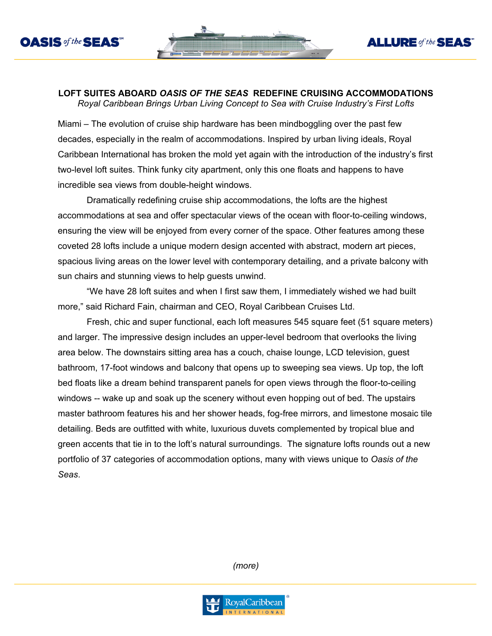



## **LOFT SUITES ABOARD** *OASIS OF THE SEAS* **REDEFINE CRUISING ACCOMMODATIONS**

*Royal Caribbean Brings Urban Living Concept to Sea with Cruise Industry's First Lofts* 

Miami – The evolution of cruise ship hardware has been mindboggling over the past few decades, especially in the realm of accommodations. Inspired by urban living ideals, Royal Caribbean International has broken the mold yet again with the introduction of the industry's first two-level loft suites. Think funky city apartment, only this one floats and happens to have incredible sea views from double-height windows.

Dramatically redefining cruise ship accommodations, the lofts are the highest accommodations at sea and offer spectacular views of the ocean with floor-to-ceiling windows, ensuring the view will be enjoyed from every corner of the space. Other features among these coveted 28 lofts include a unique modern design accented with abstract, modern art pieces, spacious living areas on the lower level with contemporary detailing, and a private balcony with sun chairs and stunning views to help guests unwind.

"We have 28 loft suites and when I first saw them, I immediately wished we had built more," said Richard Fain, chairman and CEO, Royal Caribbean Cruises Ltd.

Fresh, chic and super functional, each loft measures 545 square feet (51 square meters) and larger. The impressive design includes an upper-level bedroom that overlooks the living area below. The downstairs sitting area has a couch, chaise lounge, LCD television, guest bathroom, 17-foot windows and balcony that opens up to sweeping sea views. Up top, the loft bed floats like a dream behind transparent panels for open views through the floor-to-ceiling windows -- wake up and soak up the scenery without even hopping out of bed. The upstairs master bathroom features his and her shower heads, fog-free mirrors, and limestone mosaic tile detailing. Beds are outfitted with white, luxurious duvets complemented by tropical blue and green accents that tie in to the loft's natural surroundings. The signature lofts rounds out a new portfolio of 37 categories of accommodation options, many with views unique to *Oasis of the Seas*.

*(more)*

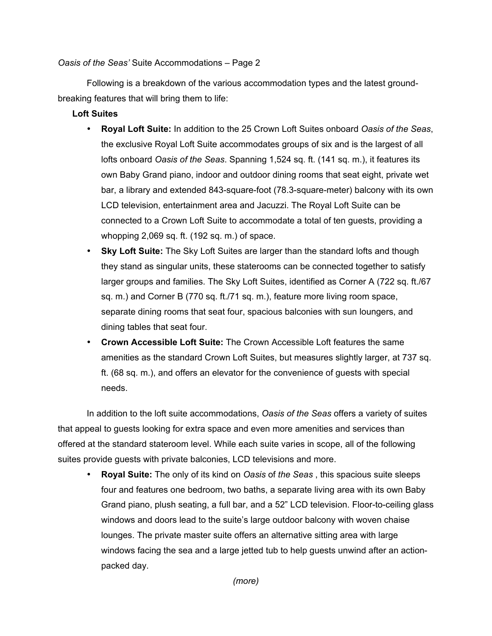## *Oasis of the Seas'* Suite Accommodations – Page 2

Following is a breakdown of the various accommodation types and the latest groundbreaking features that will bring them to life:

## **Loft Suites**

- **Royal Loft Suite:** In addition to the 25 Crown Loft Suites onboard *Oasis of the Seas*, the exclusive Royal Loft Suite accommodates groups of six and is the largest of all lofts onboard *Oasis of the Seas*. Spanning 1,524 sq. ft. (141 sq. m.), it features its own Baby Grand piano, indoor and outdoor dining rooms that seat eight, private wet bar, a library and extended 843-square-foot (78.3-square-meter) balcony with its own LCD television, entertainment area and Jacuzzi. The Royal Loft Suite can be connected to a Crown Loft Suite to accommodate a total of ten guests, providing a whopping 2,069 sq. ft. (192 sq. m.) of space.
- **Sky Loft Suite:** The Sky Loft Suites are larger than the standard lofts and though they stand as singular units, these staterooms can be connected together to satisfy larger groups and families. The Sky Loft Suites, identified as Corner A (722 sq. ft./67 sq. m.) and Corner B (770 sq. ft./71 sq. m.), feature more living room space, separate dining rooms that seat four, spacious balconies with sun loungers, and dining tables that seat four.
- **Crown Accessible Loft Suite:** The Crown Accessible Loft features the same amenities as the standard Crown Loft Suites, but measures slightly larger, at 737 sq. ft. (68 sq. m.), and offers an elevator for the convenience of guests with special needs.

In addition to the loft suite accommodations, *Oasis of the Seas* offers a variety of suites that appeal to guests looking for extra space and even more amenities and services than offered at the standard stateroom level. While each suite varies in scope, all of the following suites provide guests with private balconies, LCD televisions and more.

• **Royal Suite:** The only of its kind on *Oasis* of *the Seas* , this spacious suite sleeps four and features one bedroom, two baths, a separate living area with its own Baby Grand piano, plush seating, a full bar, and a 52" LCD television. Floor-to-ceiling glass windows and doors lead to the suite's large outdoor balcony with woven chaise lounges. The private master suite offers an alternative sitting area with large windows facing the sea and a large jetted tub to help guests unwind after an actionpacked day.

*(more)*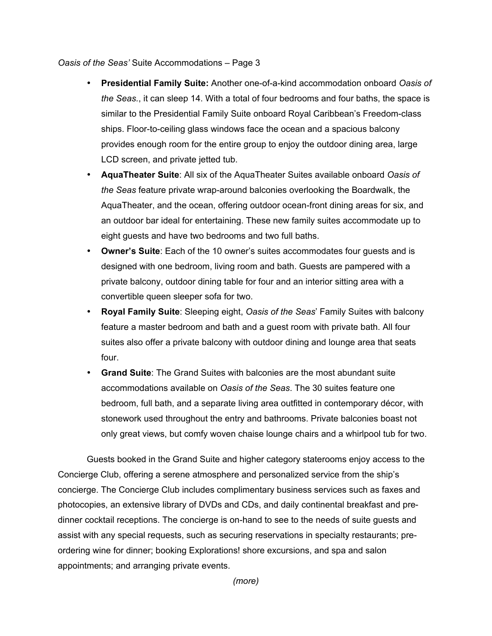*Oasis of the Seas'* Suite Accommodations – Page 3

- **Presidential Family Suite:** Another one-of-a-kind accommodation onboard *Oasis of the Seas.*, it can sleep 14. With a total of four bedrooms and four baths, the space is similar to the Presidential Family Suite onboard Royal Caribbean's Freedom-class ships. Floor-to-ceiling glass windows face the ocean and a spacious balcony provides enough room for the entire group to enjoy the outdoor dining area, large LCD screen, and private jetted tub.
- **AquaTheater Suite**: All six of the AquaTheater Suites available onboard *Oasis of the Seas* feature private wrap-around balconies overlooking the Boardwalk, the AquaTheater, and the ocean, offering outdoor ocean-front dining areas for six, and an outdoor bar ideal for entertaining. These new family suites accommodate up to eight guests and have two bedrooms and two full baths.
- **Owner's Suite**: Each of the 10 owner's suites accommodates four guests and is designed with one bedroom, living room and bath. Guests are pampered with a private balcony, outdoor dining table for four and an interior sitting area with a convertible queen sleeper sofa for two.
- **Royal Family Suite**: Sleeping eight, *Oasis of the Seas*' Family Suites with balcony feature a master bedroom and bath and a guest room with private bath. All four suites also offer a private balcony with outdoor dining and lounge area that seats four.
- **Grand Suite**: The Grand Suites with balconies are the most abundant suite accommodations available on *Oasis of the Seas*. The 30 suites feature one bedroom, full bath, and a separate living area outfitted in contemporary décor, with stonework used throughout the entry and bathrooms. Private balconies boast not only great views, but comfy woven chaise lounge chairs and a whirlpool tub for two.

Guests booked in the Grand Suite and higher category staterooms enjoy access to the Concierge Club, offering a serene atmosphere and personalized service from the ship's concierge. The Concierge Club includes complimentary business services such as faxes and photocopies, an extensive library of DVDs and CDs, and daily continental breakfast and predinner cocktail receptions. The concierge is on-hand to see to the needs of suite guests and assist with any special requests, such as securing reservations in specialty restaurants; preordering wine for dinner; booking Explorations! shore excursions, and spa and salon appointments; and arranging private events.